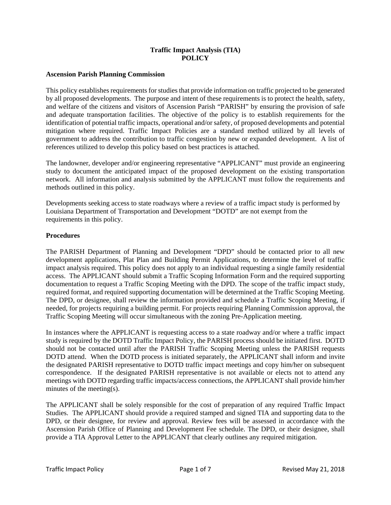# **Traffic Impact Analysis (TIA) POLICY**

# **Ascension Parish Planning Commission**

This policy establishes requirements for studies that provide information on traffic projected to be generated by all proposed developments. The purpose and intent of these requirements is to protect the health, safety, and welfare of the citizens and visitors of Ascension Parish "PARISH" by ensuring the provision of safe and adequate transportation facilities. The objective of the policy is to establish requirements for the identification of potential traffic impacts, operational and/or safety, of proposed developments and potential mitigation where required. Traffic Impact Policies are a standard method utilized by all levels of government to address the contribution to traffic congestion by new or expanded development. A list of references utilized to develop this policy based on best practices is attached.

The landowner, developer and/or engineering representative "APPLICANT" must provide an engineering study to document the anticipated impact of the proposed development on the existing transportation network. All information and analysis submitted by the APPLICANT must follow the requirements and methods outlined in this policy.

Developments seeking access to state roadways where a review of a traffic impact study is performed by Louisiana Department of Transportation and Development "DOTD" are not exempt from the requirements in this policy.

# **Procedures**

The PARISH Department of Planning and Development "DPD" should be contacted prior to all new development applications, Plat Plan and Building Permit Applications, to determine the level of traffic impact analysis required. This policy does not apply to an individual requesting a single family residential access. The APPLICANT should submit a Traffic Scoping Information Form and the required supporting documentation to request a Traffic Scoping Meeting with the DPD. The scope of the traffic impact study, required format, and required supporting documentation will be determined at the Traffic Scoping Meeting. The DPD, or designee, shall review the information provided and schedule a Traffic Scoping Meeting, if needed, for projects requiring a building permit. For projects requiring Planning Commission approval, the Traffic Scoping Meeting will occur simultaneous with the zoning Pre-Application meeting.

In instances where the APPLICANT is requesting access to a state roadway and/or where a traffic impact study is required by the DOTD Traffic Impact Policy, the PARISH process should be initiated first. DOTD should not be contacted until after the PARISH Traffic Scoping Meeting unless the PARISH requests DOTD attend. When the DOTD process is initiated separately, the APPLICANT shall inform and invite the designated PARISH representative to DOTD traffic impact meetings and copy him/her on subsequent correspondence. If the designated PARISH representative is not available or elects not to attend any meetings with DOTD regarding traffic impacts/access connections, the APPLICANT shall provide him/her minutes of the meeting(s).

The APPLICANT shall be solely responsible for the cost of preparation of any required Traffic Impact Studies. The APPLICANT should provide a required stamped and signed TIA and supporting data to the DPD, or their designee, for review and approval. Review fees will be assessed in accordance with the Ascension Parish Office of Planning and Development Fee schedule. The DPD, or their designee, shall provide a TIA Approval Letter to the APPLICANT that clearly outlines any required mitigation.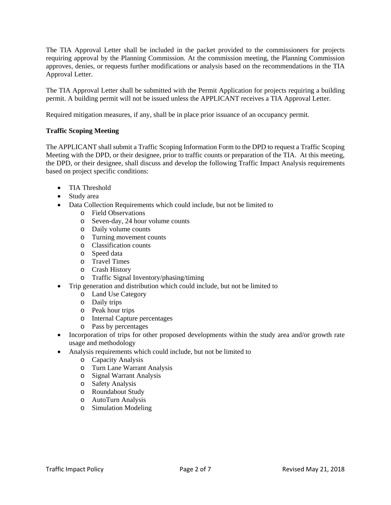The TIA Approval Letter shall be included in the packet provided to the commissioners for projects requiring approval by the Planning Commission. At the commission meeting, the Planning Commission approves, denies, or requests further modifications or analysis based on the recommendations in the TIA Approval Letter.

The TIA Approval Letter shall be submitted with the Permit Application for projects requiring a building permit. A building permit will not be issued unless the APPLICANT receives a TIA Approval Letter.

Required mitigation measures, if any, shall be in place prior issuance of an occupancy permit.

# **Traffic Scoping Meeting**

The APPLICANT shall submit a Traffic Scoping Information Form to the DPD to request a Traffic Scoping Meeting with the DPD, or their designee, prior to traffic counts or preparation of the TIA. At this meeting, the DPD, or their designee, shall discuss and develop the following Traffic Impact Analysis requirements based on project specific conditions:

- TIA Threshold
- Study area
- Data Collection Requirements which could include, but not be limited to
	- o Field Observations
	- o Seven-day, 24 hour volume counts
	- o Daily volume counts
	- o Turning movement counts
	- o Classification counts
	- o Speed data
	- o Travel Times
	- o Crash History
	- o Traffic Signal Inventory/phasing/timing
- Trip generation and distribution which could include, but not be limited to
	- o Land Use Category
	- o Daily trips
	- o Peak hour trips
	- o Internal Capture percentages
	- o Pass by percentages
- Incorporation of trips for other proposed developments within the study area and/or growth rate usage and methodology
- Analysis requirements which could include, but not be limited to
	- o Capacity Analysis
	- o Turn Lane Warrant Analysis
	- o Signal Warrant Analysis
	- o Safety Analysis
	- o Roundabout Study
	- o AutoTurn Analysis
	- o Simulation Modeling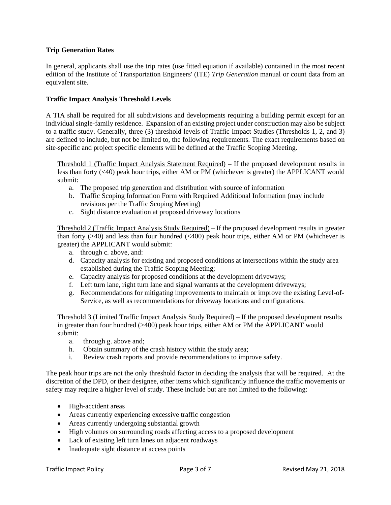# **Trip Generation Rates**

In general, applicants shall use the trip rates (use fitted equation if available) contained in the most recent edition of the Institute of Transportation Engineers' (ITE) *Trip Generation* manual or count data from an equivalent site.

# **Traffic Impact Analysis Threshold Levels**

A TIA shall be required for all subdivisions and developments requiring a building permit except for an individual single-family residence. Expansion of an existing project under construction may also be subject to a traffic study. Generally, three (3) threshold levels of Traffic Impact Studies (Thresholds 1, 2, and 3) are defined to include, but not be limited to, the following requirements. The exact requirements based on site-specific and project specific elements will be defined at the Traffic Scoping Meeting.

Threshold 1 (Traffic Impact Analysis Statement Required) – If the proposed development results in less than forty (<40) peak hour trips, either AM or PM (whichever is greater) the APPLICANT would submit:

- a. The proposed trip generation and distribution with source of information
- b. Traffic Scoping Information Form with Required Additional Information (may include revisions per the Traffic Scoping Meeting)
- c. Sight distance evaluation at proposed driveway locations

Threshold 2 (Traffic Impact Analysis Study Required) – If the proposed development results in greater than forty  $(>40)$  and less than four hundred  $( $400$ ) peak hour trips, either AM or PM (whichever is$ greater) the APPLICANT would submit:

- a. through c. above, and:
- d. Capacity analysis for existing and proposed conditions at intersections within the study area established during the Traffic Scoping Meeting;
- e. Capacity analysis for proposed conditions at the development driveways;
- f. Left turn lane, right turn lane and signal warrants at the development driveways;
- g. Recommendations for mitigating improvements to maintain or improve the existing Level-of-Service, as well as recommendations for driveway locations and configurations.

Threshold 3 (Limited Traffic Impact Analysis Study Required) – If the proposed development results in greater than four hundred (>400) peak hour trips, either AM or PM the APPLICANT would submit:

- a. through g. above and;
- h. Obtain summary of the crash history within the study area;
- i. Review crash reports and provide recommendations to improve safety.

The peak hour trips are not the only threshold factor in deciding the analysis that will be required. At the discretion of the DPD, or their designee, other items which significantly influence the traffic movements or safety may require a higher level of study. These include but are not limited to the following:

- High-accident areas
- Areas currently experiencing excessive traffic congestion
- Areas currently undergoing substantial growth
- High volumes on surrounding roads affecting access to a proposed development
- Lack of existing left turn lanes on adjacent roadways
- Inadequate sight distance at access points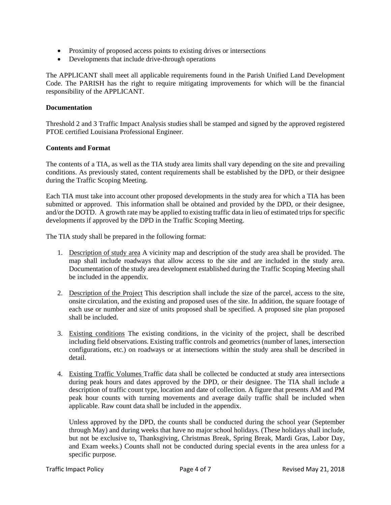- Proximity of proposed access points to existing drives or intersections
- Developments that include drive-through operations

The APPLICANT shall meet all applicable requirements found in the Parish Unified Land Development Code. The PARISH has the right to require mitigating improvements for which will be the financial responsibility of the APPLICANT.

#### **Documentation**

Threshold 2 and 3 Traffic Impact Analysis studies shall be stamped and signed by the approved registered PTOE certified Louisiana Professional Engineer.

#### **Contents and Format**

The contents of a TIA, as well as the TIA study area limits shall vary depending on the site and prevailing conditions. As previously stated, content requirements shall be established by the DPD, or their designee during the Traffic Scoping Meeting.

Each TIA must take into account other proposed developments in the study area for which a TIA has been submitted or approved. This information shall be obtained and provided by the DPD, or their designee, and/or the DOTD. A growth rate may be applied to existing traffic data in lieu of estimated trips for specific developments if approved by the DPD in the Traffic Scoping Meeting.

The TIA study shall be prepared in the following format:

- 1. Description of study area A vicinity map and description of the study area shall be provided. The map shall include roadways that allow access to the site and are included in the study area. Documentation of the study area development established during the Traffic Scoping Meeting shall be included in the appendix.
- 2. Description of the Project This description shall include the size of the parcel, access to the site, onsite circulation, and the existing and proposed uses of the site. In addition, the square footage of each use or number and size of units proposed shall be specified. A proposed site plan proposed shall be included.
- 3. Existing conditions The existing conditions, in the vicinity of the project, shall be described including field observations. Existing traffic controls and geometrics (number of lanes, intersection configurations, etc.) on roadways or at intersections within the study area shall be described in detail.
- 4. Existing Traffic Volumes Traffic data shall be collected be conducted at study area intersections during peak hours and dates approved by the DPD, or their designee. The TIA shall include a description of traffic count type, location and date of collection. A figure that presents AM and PM peak hour counts with turning movements and average daily traffic shall be included when applicable. Raw count data shall be included in the appendix.

Unless approved by the DPD, the counts shall be conducted during the school year (September through May) and during weeks that have no major school holidays. (These holidays shall include, but not be exclusive to, Thanksgiving, Christmas Break, Spring Break, Mardi Gras, Labor Day, and Exam weeks.) Counts shall not be conducted during special events in the area unless for a specific purpose.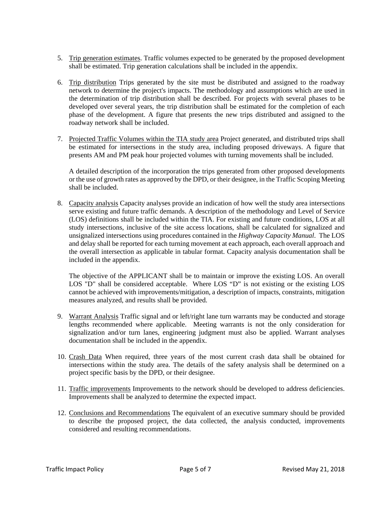- 5. Trip generation estimates. Traffic volumes expected to be generated by the proposed development shall be estimated. Trip generation calculations shall be included in the appendix.
- 6. Trip distribution Trips generated by the site must be distributed and assigned to the roadway network to determine the project's impacts. The methodology and assumptions which are used in the determination of trip distribution shall be described. For projects with several phases to be developed over several years, the trip distribution shall be estimated for the completion of each phase of the development. A figure that presents the new trips distributed and assigned to the roadway network shall be included.
- 7. Projected Traffic Volumes within the TIA study area Project generated, and distributed trips shall be estimated for intersections in the study area, including proposed driveways. A figure that presents AM and PM peak hour projected volumes with turning movements shall be included.

A detailed description of the incorporation the trips generated from other proposed developments or the use of growth rates as approved by the DPD, or their designee, in the Traffic Scoping Meeting shall be included.

8. Capacity analysis Capacity analyses provide an indication of how well the study area intersections serve existing and future traffic demands. A description of the methodology and Level of Service (LOS) definitions shall be included within the TIA. For existing and future conditions, LOS at all study intersections, inclusive of the site access locations, shall be calculated for signalized and unsignalized intersections using procedures contained in the *Highway Capacity Manual*. The LOS and delay shall be reported for each turning movement at each approach, each overall approach and the overall intersection as applicable in tabular format. Capacity analysis documentation shall be included in the appendix.

The objective of the APPLICANT shall be to maintain or improve the existing LOS. An overall LOS "D" shall be considered acceptable. Where LOS "D" is not existing or the existing LOS cannot be achieved with improvements/mitigation, a description of impacts, constraints, mitigation measures analyzed, and results shall be provided.

- 9. Warrant Analysis Traffic signal and or left/right lane turn warrants may be conducted and storage lengths recommended where applicable. Meeting warrants is not the only consideration for signalization and/or turn lanes, engineering judgment must also be applied. Warrant analyses documentation shall be included in the appendix.
- 10. Crash Data When required, three years of the most current crash data shall be obtained for intersections within the study area. The details of the safety analysis shall be determined on a project specific basis by the DPD, or their designee.
- 11. Traffic improvements Improvements to the network should be developed to address deficiencies. Improvements shall be analyzed to determine the expected impact.
- 12. Conclusions and Recommendations The equivalent of an executive summary should be provided to describe the proposed project, the data collected, the analysis conducted, improvements considered and resulting recommendations.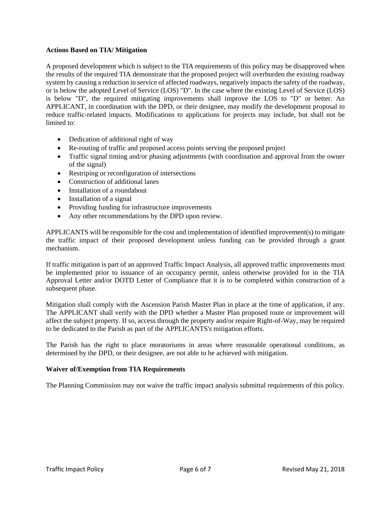## **Actions Based on TIA/ Mitigation**

A proposed development which is subject to the TIA requirements of this policy may be disapproved when the results of the required TIA demonstrate that the proposed project will overburden the existing roadway system by causing a reduction in service of affected roadways, negatively impacts the safety of the roadway, or is below the adopted Level of Service (LOS) "D". In the case where the existing Level of Service (LOS) is below "D", the required mitigating improvements shall improve the LOS to "D" or better. An APPLICANT, in coordination with the DPD, or their designee, may modify the development proposal to reduce traffic-related impacts. Modifications to applications for projects may include, but shall not be limited to:

- Dedication of additional right of way
- Re-routing of traffic and proposed access points serving the proposed project
- Traffic signal timing and/or phasing adjustments (with coordination and approval from the owner of the signal)
- Restriping or reconfiguration of intersections
- Construction of additional lanes
- Installation of a roundabout
- Installation of a signal
- Providing funding for infrastructure improvements
- Any other recommendations by the DPD upon review.

APPLICANTS will be responsible for the cost and implementation of identified improvement(s) to mitigate the traffic impact of their proposed development unless funding can be provided through a grant mechanism.

If traffic mitigation is part of an approved Traffic Impact Analysis, all approved traffic improvements must be implemented prior to issuance of an occupancy permit, unless otherwise provided for in the TIA Approval Letter and/or DOTD Letter of Compliance that it is to be completed within construction of a subsequent phase.

Mitigation shall comply with the Ascension Parish Master Plan in place at the time of application, if any. The APPLICANT shall verify with the DPD whether a Master Plan proposed route or improvement will affect the subject property. If so, access through the property and/or require Right-of-Way, may be required to be dedicated to the Parish as part of the APPLICANTS's mitigation efforts.

The Parish has the right to place moratoriums in areas where reasonable operational conditions, as determined by the DPD, or their designee, are not able to be achieved with mitigation.

# **Waiver of/Exemption from TIA Requirements**

The Planning Commission may not waive the traffic impact analysis submittal requirements of this policy.